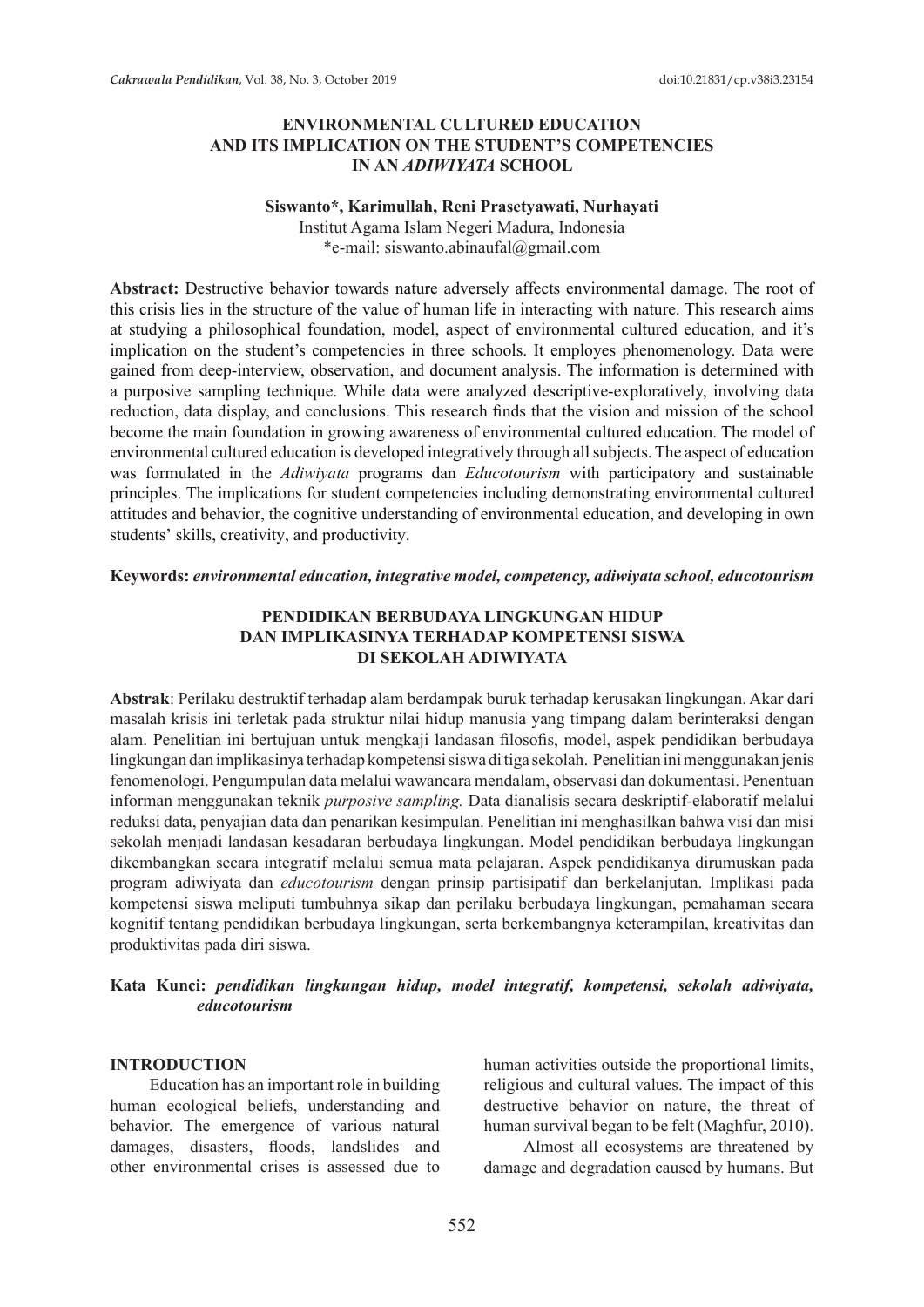## **ENVIRONMENTAL CULTURED EDUCATION AND ITS IMPLICATION ON THE STUDENT'S COMPETENCIES IN AN** *ADIWIYATA* **SCHOOL**

#### **Siswanto\*, Karimullah, Reni Prasetyawati, Nurhayati**

Institut Agama Islam Negeri Madura, Indonesia \*e-mail: siswanto.abinaufal@gmail.com

**Abstract:** Destructive behavior towards nature adversely affects environmental damage. The root of this crisis lies in the structure of the value of human life in interacting with nature. This research aims at studying a philosophical foundation, model, aspect of environmental cultured education, and it's implication on the student's competencies in three schools. It employes phenomenology. Data were gained from deep-interview, observation, and document analysis. The information is determined with a purposive sampling technique. While data were analyzed descriptive-exploratively, involving data reduction, data display, and conclusions. This research finds that the vision and mission of the school become the main foundation in growing awareness of environmental cultured education. The model of environmental cultured education is developed integratively through all subjects. The aspect of education was formulated in the *Adiwiyata* programs dan *Educotourism* with participatory and sustainable principles. The implications for student competencies including demonstrating environmental cultured attitudes and behavior, the cognitive understanding of environmental education, and developing in own students' skills, creativity, and productivity.

**Keywords:** *environmental education, integrative model, competency, adiwiyata school, educotourism*

### **PENDIDIKAN BERBUDAYA LINGKUNGAN HIDUP DAN IMPLIKASINYA TERHADAP KOMPETENSI SISWA DI SEKOLAH ADIWIYATA**

**Abstrak**: Perilaku destruktif terhadap alam berdampak buruk terhadap kerusakan lingkungan. Akar dari masalah krisis ini terletak pada struktur nilai hidup manusia yang timpang dalam berinteraksi dengan alam. Penelitian ini bertujuan untuk mengkaji landasan filosofis, model, aspek pendidikan berbudaya lingkungan dan implikasinya terhadap kompetensi siswa di tiga sekolah. Penelitian ini menggunakan jenis fenomenologi. Pengumpulan data melalui wawancara mendalam, observasi dan dokumentasi. Penentuan informan menggunakan teknik *purposive sampling.* Data dianalisis secara deskriptif-elaboratif melalui reduksi data, penyajian data dan penarikan kesimpulan. Penelitian ini menghasilkan bahwa visi dan misi sekolah menjadi landasan kesadaran berbudaya lingkungan. Model pendidikan berbudaya lingkungan dikembangkan secara integratif melalui semua mata pelajaran. Aspek pendidikanya dirumuskan pada program adiwiyata dan *educotourism* dengan prinsip partisipatif dan berkelanjutan. Implikasi pada kompetensi siswa meliputi tumbuhnya sikap dan perilaku berbudaya lingkungan, pemahaman secara kognitif tentang pendidikan berbudaya lingkungan, serta berkembangnya keterampilan, kreativitas dan produktivitas pada diri siswa.

## **Kata Kunci:** *pendidikan lingkungan hidup, model integratif, kompetensi, sekolah adiwiyata, educotourism*

#### **INTRODUCTION**

Education has an important role in building human ecological beliefs, understanding and behavior. The emergence of various natural damages, disasters, floods, landslides and other environmental crises is assessed due to human activities outside the proportional limits, religious and cultural values. The impact of this destructive behavior on nature, the threat of human survival began to be felt (Maghfur, 2010).

Almost all ecosystems are threatened by damage and degradation caused by humans. But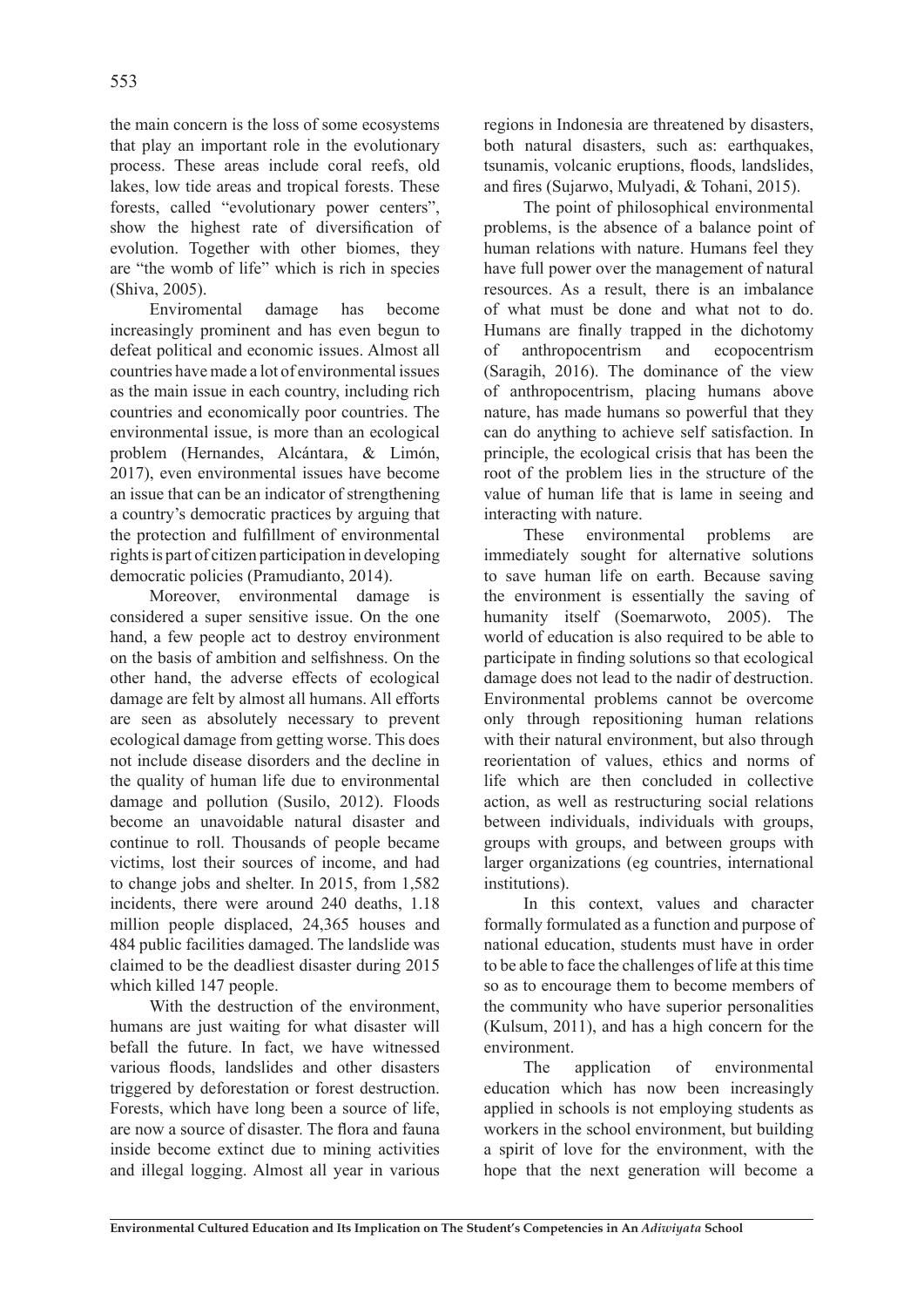the main concern is the loss of some ecosystems that play an important role in the evolutionary process. These areas include coral reefs, old lakes, low tide areas and tropical forests. These forests, called "evolutionary power centers", show the highest rate of diversification of evolution. Together with other biomes, they are "the womb of life" which is rich in species (Shiva, 2005).

Enviromental damage has become increasingly prominent and has even begun to defeat political and economic issues. Almost all countries have made a lot of environmental issues as the main issue in each country, including rich countries and economically poor countries. The environmental issue, is more than an ecological problem (Hernandes, Alcántara, & Limón, 2017), even environmental issues have become an issue that can be an indicator of strengthening a country's democratic practices by arguing that the protection and fulfillment of environmental rights is part of citizen participation in developing democratic policies (Pramudianto, 2014).

Moreover, environmental damage is considered a super sensitive issue. On the one hand, a few people act to destroy environment on the basis of ambition and selfishness. On the other hand, the adverse effects of ecological damage are felt by almost all humans. All efforts are seen as absolutely necessary to prevent ecological damage from getting worse. This does not include disease disorders and the decline in the quality of human life due to environmental damage and pollution (Susilo, 2012). Floods become an unavoidable natural disaster and continue to roll. Thousands of people became victims, lost their sources of income, and had to change jobs and shelter. In 2015, from 1,582 incidents, there were around 240 deaths, 1.18 million people displaced, 24,365 houses and 484 public facilities damaged. The landslide was claimed to be the deadliest disaster during 2015 which killed 147 people.

With the destruction of the environment, humans are just waiting for what disaster will befall the future. In fact, we have witnessed various floods, landslides and other disasters triggered by deforestation or forest destruction. Forests, which have long been a source of life, are now a source of disaster. The flora and fauna inside become extinct due to mining activities and illegal logging. Almost all year in various

regions in Indonesia are threatened by disasters, both natural disasters, such as: earthquakes, tsunamis, volcanic eruptions, floods, landslides, and fires (Sujarwo, Mulyadi, & Tohani, 2015).

The point of philosophical environmental problems, is the absence of a balance point of human relations with nature. Humans feel they have full power over the management of natural resources. As a result, there is an imbalance of what must be done and what not to do. Humans are finally trapped in the dichotomy of anthropocentrism and ecopocentrism (Saragih, 2016). The dominance of the view of anthropocentrism, placing humans above nature, has made humans so powerful that they can do anything to achieve self satisfaction. In principle, the ecological crisis that has been the root of the problem lies in the structure of the value of human life that is lame in seeing and interacting with nature.

These environmental problems are immediately sought for alternative solutions to save human life on earth. Because saving the environment is essentially the saving of humanity itself (Soemarwoto, 2005). The world of education is also required to be able to participate in finding solutions so that ecological damage does not lead to the nadir of destruction. Environmental problems cannot be overcome only through repositioning human relations with their natural environment, but also through reorientation of values, ethics and norms of life which are then concluded in collective action, as well as restructuring social relations between individuals, individuals with groups, groups with groups, and between groups with larger organizations (eg countries, international institutions).

In this context, values and character formally formulated as a function and purpose of national education, students must have in order to be able to face the challenges of life at this time so as to encourage them to become members of the community who have superior personalities (Kulsum, 2011), and has a high concern for the environment.

The application of environmental education which has now been increasingly applied in schools is not employing students as workers in the school environment, but building a spirit of love for the environment, with the hope that the next generation will become a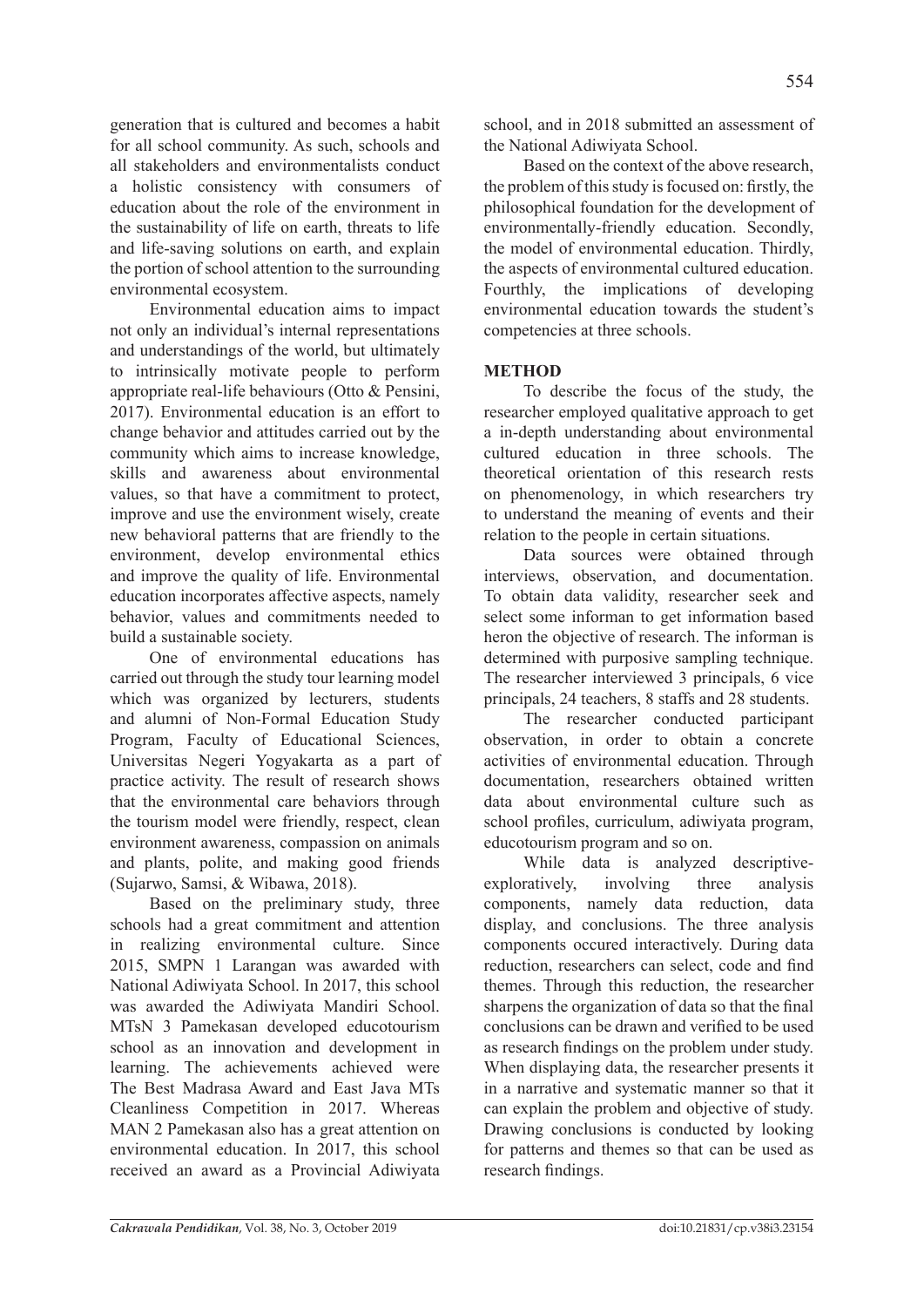generation that is cultured and becomes a habit for all school community. As such, schools and all stakeholders and environmentalists conduct a holistic consistency with consumers of education about the role of the environment in the sustainability of life on earth, threats to life and life-saving solutions on earth, and explain the portion of school attention to the surrounding environmental ecosystem.

Environmental education aims to impact not only an individual's internal representations and understandings of the world, but ultimately to intrinsically motivate people to perform appropriate real-life behaviours (Otto & Pensini, 2017). Environmental education is an effort to change behavior and attitudes carried out by the community which aims to increase knowledge, skills and awareness about environmental values, so that have a commitment to protect, improve and use the environment wisely, create new behavioral patterns that are friendly to the environment, develop environmental ethics and improve the quality of life. Environmental education incorporates affective aspects, namely behavior, values and commitments needed to build a sustainable society.

One of environmental educations has carried out through the study tour learning model which was organized by lecturers, students and alumni of Non-Formal Education Study Program, Faculty of Educational Sciences, Universitas Negeri Yogyakarta as a part of practice activity. The result of research shows that the environmental care behaviors through the tourism model were friendly, respect, clean environment awareness, compassion on animals and plants, polite, and making good friends (Sujarwo, Samsi, & Wibawa, 2018).

Based on the preliminary study, three schools had a great commitment and attention in realizing environmental culture. Since 2015, SMPN 1 Larangan was awarded with National Adiwiyata School. In 2017, this school was awarded the Adiwiyata Mandiri School. MTsN 3 Pamekasan developed educotourism school as an innovation and development in learning. The achievements achieved were The Best Madrasa Award and East Java MTs Cleanliness Competition in 2017. Whereas MAN 2 Pamekasan also has a great attention on environmental education. In 2017, this school received an award as a Provincial Adiwiyata

school, and in 2018 submitted an assessment of the National Adiwiyata School.

Based on the context of the above research, the problem of this study is focused on: firstly, the philosophical foundation for the development of environmentally-friendly education. Secondly, the model of environmental education. Thirdly, the aspects of environmental cultured education. Fourthly, the implications of developing environmental education towards the student's competencies at three schools.

# **METHOD**

To describe the focus of the study, the researcher employed qualitative approach to get a in-depth understanding about environmental cultured education in three schools. The theoretical orientation of this research rests on phenomenology, in which researchers try to understand the meaning of events and their relation to the people in certain situations.

Data sources were obtained through interviews, observation, and documentation. To obtain data validity, researcher seek and select some informan to get information based heron the objective of research. The informan is determined with purposive sampling technique. The researcher interviewed 3 principals, 6 vice principals, 24 teachers, 8 staffs and 28 students.

The researcher conducted participant observation, in order to obtain a concrete activities of environmental education. Through documentation, researchers obtained written data about environmental culture such as school profiles, curriculum, adiwiyata program, educotourism program and so on.

While data is analyzed descriptiveexploratively, involving three analysis components, namely data reduction, data display, and conclusions. The three analysis components occured interactively. During data reduction, researchers can select, code and find themes. Through this reduction, the researcher sharpens the organization of data so that the final conclusions can be drawn and verified to be used as research findings on the problem under study. When displaying data, the researcher presents it in a narrative and systematic manner so that it can explain the problem and objective of study. Drawing conclusions is conducted by looking for patterns and themes so that can be used as research findings.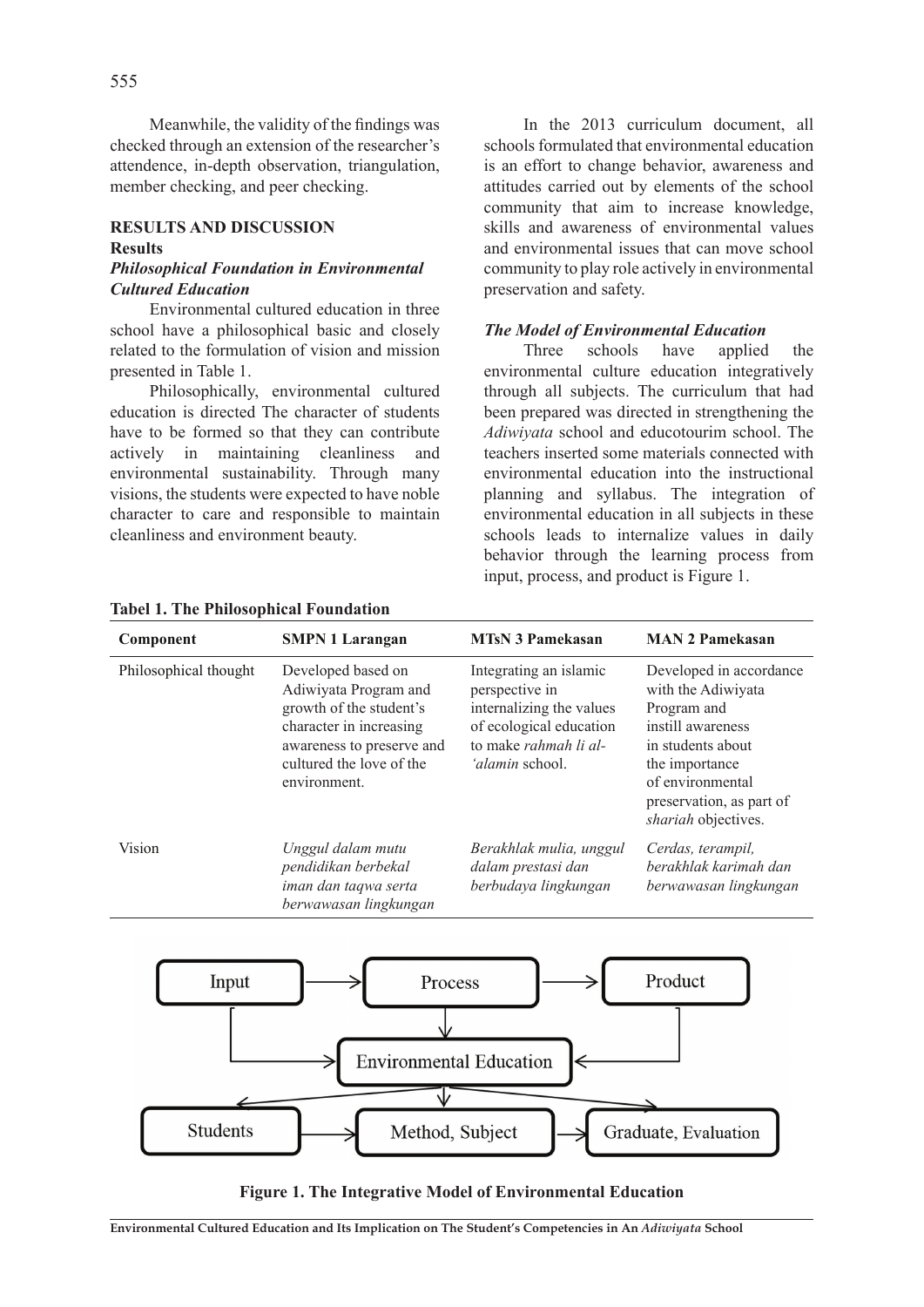Meanwhile, the validity of the findings was checked through an extension of the researcher's attendence, in-depth observation, triangulation, member checking, and peer checking.

#### **RESULTS AND DISCUSSION Results** *Philosophical Foundation in Environmental*

# *Cultured Education*

Environmental cultured education in three school have a philosophical basic and closely related to the formulation of vision and mission presented in Table 1.

Philosophically, environmental cultured education is directed The character of students have to be formed so that they can contribute actively in maintaining cleanliness and environmental sustainability. Through many visions, the students were expected to have noble character to care and responsible to maintain cleanliness and environment beauty.

In the 2013 curriculum document, all schools formulated that environmental education is an effort to change behavior, awareness and attitudes carried out by elements of the school community that aim to increase knowledge, skills and awareness of environmental values and environmental issues that can move school community to play role actively in environmental preservation and safety.

#### *The Model of Environmental Education*

Three schools have applied the environmental culture education integratively through all subjects. The curriculum that had been prepared was directed in strengthening the *Adiwiyata* school and educotourim school. The teachers inserted some materials connected with environmental education into the instructional planning and syllabus. The integration of environmental education in all subjects in these schools leads to internalize values in daily behavior through the learning process from input, process, and product is Figure 1.

| Component             | <b>SMPN 1 Larangan</b>                                                                                                                                                     | <b>MTsN 3 Pamekasan</b>                                                                                                                            | <b>MAN 2 Pamekasan</b>                                                                                                                                                                          |
|-----------------------|----------------------------------------------------------------------------------------------------------------------------------------------------------------------------|----------------------------------------------------------------------------------------------------------------------------------------------------|-------------------------------------------------------------------------------------------------------------------------------------------------------------------------------------------------|
| Philosophical thought | Developed based on<br>Adiwiyata Program and<br>growth of the student's<br>character in increasing<br>awareness to preserve and<br>cultured the love of the<br>environment. | Integrating an islamic<br>perspective in<br>internalizing the values<br>of ecological education<br>to make rahmah li al-<br><i>'alamin</i> school. | Developed in accordance<br>with the Adiwiyata<br>Program and<br>instill awareness<br>in students about<br>the importance<br>of environmental<br>preservation, as part of<br>shariah objectives. |
| <b>Vision</b>         | Unggul dalam mutu<br>pendidikan berbekal<br>iman dan taqwa serta<br>berwawasan lingkungan                                                                                  | Berakhlak mulia, unggul<br>dalam prestasi dan<br>berbudaya lingkungan                                                                              | Cerdas, terampil,<br>berakhlak karimah dan<br>berwawasan lingkungan                                                                                                                             |

#### **Tabel 1. The Philosophical Foundation**



**Figure 1. The Integrative Model of Environmental Education**

**Environmental Cultured Education and Its Implication on The Student's Competencies in An** *Adiwiyata* **School**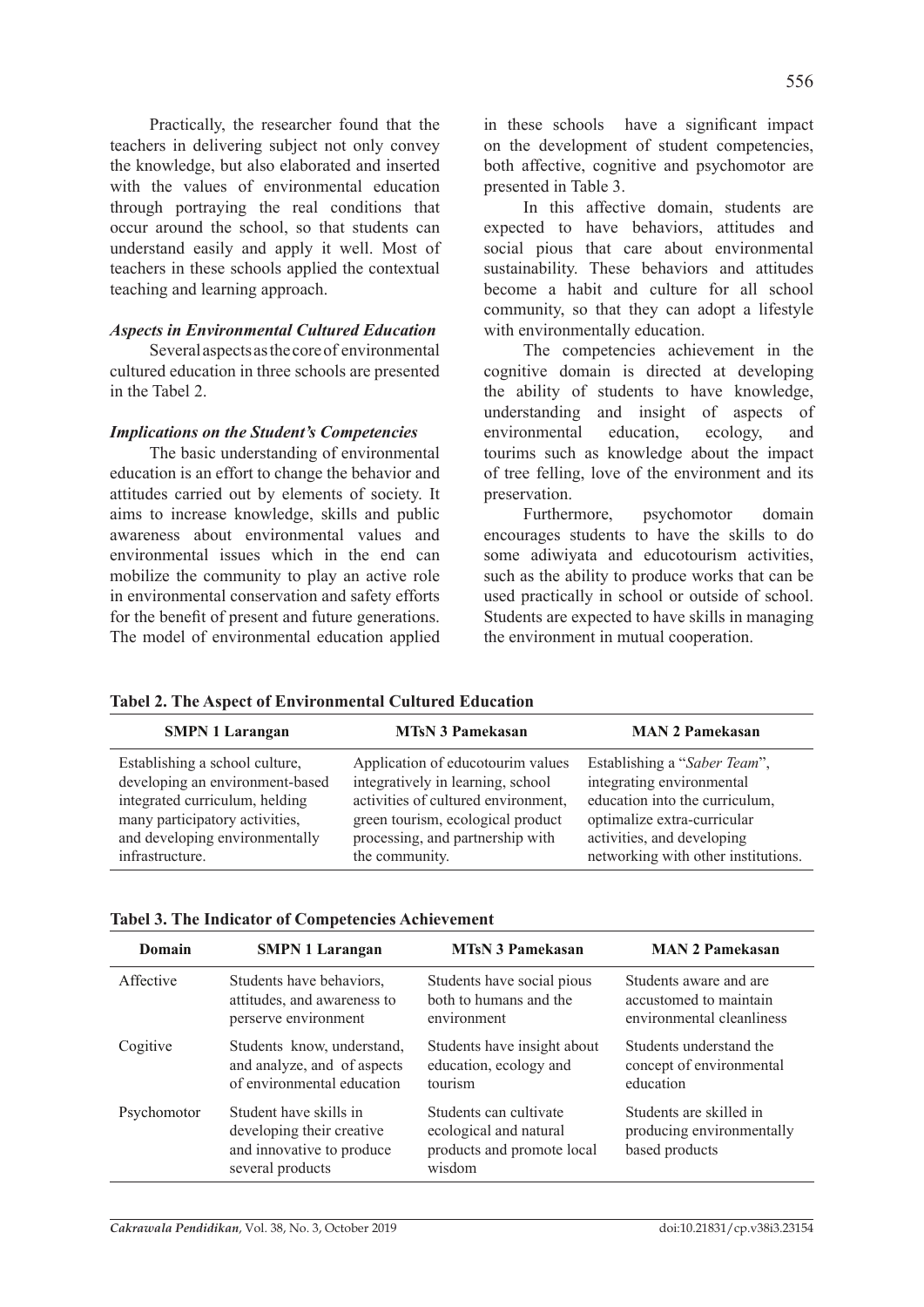Practically, the researcher found that the teachers in delivering subject not only convey the knowledge, but also elaborated and inserted with the values of environmental education through portraying the real conditions that occur around the school, so that students can understand easily and apply it well. Most of teachers in these schools applied the contextual teaching and learning approach.

#### *Aspects in Environmental Cultured Education*

Several aspects as the core of environmental cultured education in three schools are presented in the Tabel 2.

#### *Implications on the Student's Competencies*

The basic understanding of environmental education is an effort to change the behavior and attitudes carried out by elements of society. It aims to increase knowledge, skills and public awareness about environmental values and environmental issues which in the end can mobilize the community to play an active role in environmental conservation and safety efforts for the benefit of present and future generations. The model of environmental education applied in these schools have a significant impact on the development of student competencies, both affective, cognitive and psychomotor are presented in Table 3.

In this affective domain, students are expected to have behaviors, attitudes and social pious that care about environmental sustainability. These behaviors and attitudes become a habit and culture for all school community, so that they can adopt a lifestyle with environmentally education.

The competencies achievement in the cognitive domain is directed at developing the ability of students to have knowledge, understanding and insight of aspects of environmental education, ecology, and tourims such as knowledge about the impact of tree felling, love of the environment and its preservation.

Furthermore, psychomotor domain encourages students to have the skills to do some adiwiyata and educotourism activities, such as the ability to produce works that can be used practically in school or outside of school. Students are expected to have skills in managing the environment in mutual cooperation.

| <b>SMPN 1 Larangan</b>          | <b>MTsN 3 Pamekasan</b>             | <b>MAN 2 Pamekasan</b>              |
|---------------------------------|-------------------------------------|-------------------------------------|
| Establishing a school culture,  | Application of educotourim values   | Establishing a "Saber Team",        |
| developing an environment-based | integratively in learning, school   | integrating environmental           |
| integrated curriculum, helding  | activities of cultured environment, | education into the curriculum,      |
| many participatory activities,  | green tourism, ecological product   | optimalize extra-curricular         |
| and developing environmentally  | processing, and partnership with    | activities, and developing          |
| infrastructure.                 | the community.                      | networking with other institutions. |

**Tabel 2. The Aspect of Environmental Cultured Education** 

|  |  |  |  | <b>Tabel 3. The Indicator of Competencies Achievement</b> |
|--|--|--|--|-----------------------------------------------------------|
|--|--|--|--|-----------------------------------------------------------|

| Domain      | <b>SMPN 1 Larangan</b>                                                                               | <b>MTsN 3 Pamekasan</b>                                                                  | <b>MAN 2 Pamekasan</b>                                                 |
|-------------|------------------------------------------------------------------------------------------------------|------------------------------------------------------------------------------------------|------------------------------------------------------------------------|
| Affective   | Students have behaviors,                                                                             | Students have social pious                                                               | Students aware and are                                                 |
|             | attitudes, and awareness to                                                                          | both to humans and the                                                                   | accustomed to maintain                                                 |
|             | perserve environment                                                                                 | environment                                                                              | environmental cleanliness                                              |
| Cogitive    | Students know, understand,                                                                           | Students have insight about                                                              | Students understand the                                                |
|             | and analyze, and of aspects                                                                          | education, ecology and                                                                   | concept of environmental                                               |
|             | of environmental education                                                                           | tourism                                                                                  | education                                                              |
| Psychomotor | Student have skills in<br>developing their creative<br>and innovative to produce<br>several products | Students can cultivate<br>ecological and natural<br>products and promote local<br>wisdom | Students are skilled in<br>producing environmentally<br>based products |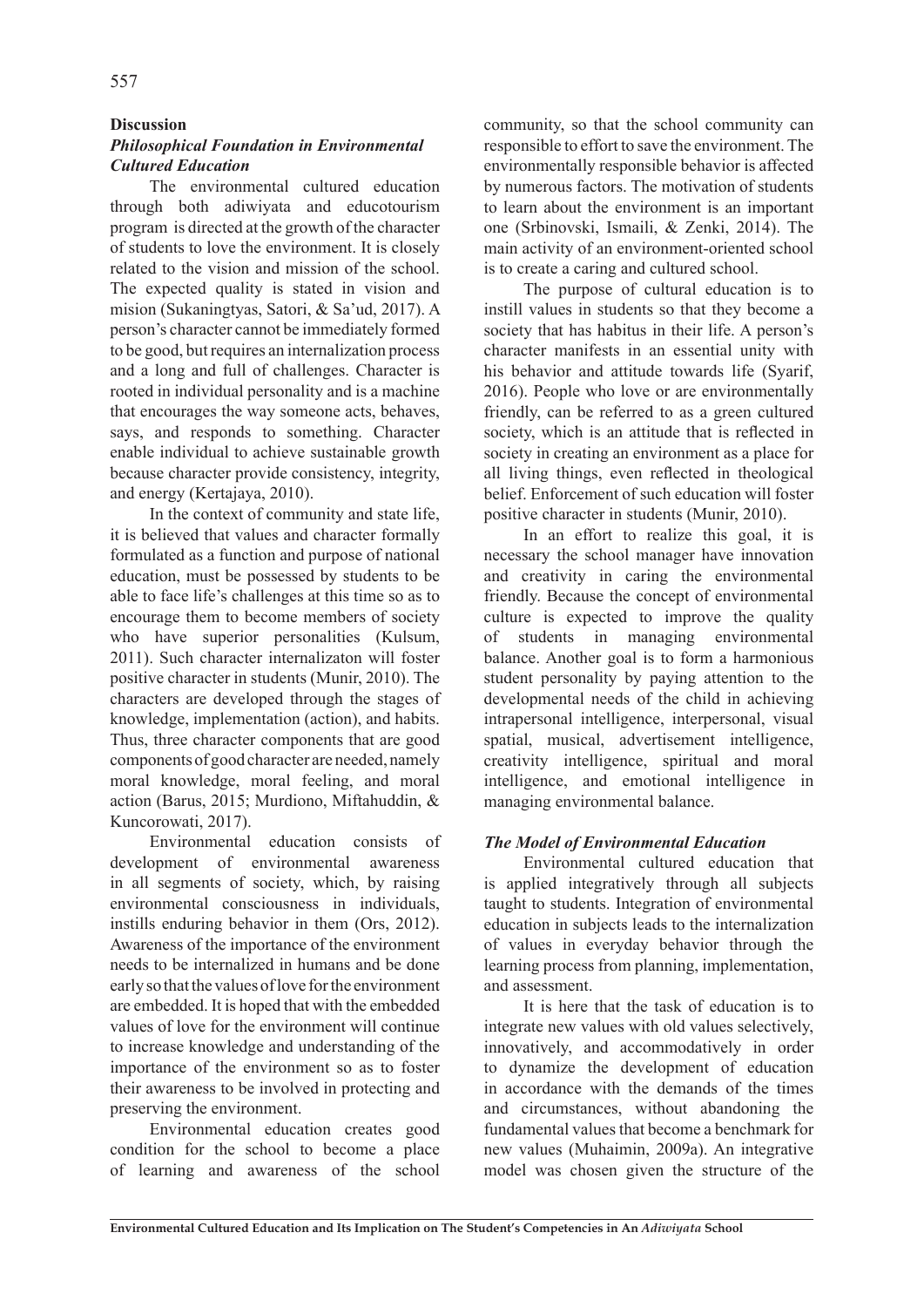#### **Discussion**

#### *Philosophical Foundation in Environmental Cultured Education*

The environmental cultured education through both adiwiyata and educotourism program is directed at the growth of the character of students to love the environment. It is closely related to the vision and mission of the school. The expected quality is stated in vision and mision (Sukaningtyas, Satori, & Sa'ud, 2017). A person's character cannot be immediately formed to be good, but requires an internalization process and a long and full of challenges. Character is rooted in individual personality and is a machine that encourages the way someone acts, behaves, says, and responds to something. Character enable individual to achieve sustainable growth because character provide consistency, integrity, and energy (Kertajaya, 2010).

In the context of community and state life, it is believed that values and character formally formulated as a function and purpose of national education, must be possessed by students to be able to face life's challenges at this time so as to encourage them to become members of society who have superior personalities (Kulsum, 2011). Such character internalizaton will foster positive character in students (Munir, 2010). The characters are developed through the stages of knowledge, implementation (action), and habits. Thus, three character components that are good components of good character are needed, namely moral knowledge, moral feeling, and moral action (Barus, 2015; Murdiono, Miftahuddin, & Kuncorowati, 2017).

Environmental education consists of development of environmental awareness in all segments of society, which, by raising environmental consciousness in individuals, instills enduring behavior in them (Ors, 2012). Awareness of the importance of the environment needs to be internalized in humans and be done early so that the values of love for the environment are embedded. It is hoped that with the embedded values of love for the environment will continue to increase knowledge and understanding of the importance of the environment so as to foster their awareness to be involved in protecting and preserving the environment.

Environmental education creates good condition for the school to become a place of learning and awareness of the school community, so that the school community can responsible to effort to save the environment. The environmentally responsible behavior is affected by numerous factors. The motivation of students to learn about the environment is an important one (Srbinovski, Ismaili, & Zenki, 2014). The main activity of an environment-oriented school is to create a caring and cultured school.

The purpose of cultural education is to instill values in students so that they become a society that has habitus in their life. A person's character manifests in an essential unity with his behavior and attitude towards life (Syarif, 2016). People who love or are environmentally friendly, can be referred to as a green cultured society, which is an attitude that is reflected in society in creating an environment as a place for all living things, even reflected in theological belief. Enforcement of such education will foster positive character in students (Munir, 2010).

In an effort to realize this goal, it is necessary the school manager have innovation and creativity in caring the environmental friendly. Because the concept of environmental culture is expected to improve the quality of students in managing environmental balance. Another goal is to form a harmonious student personality by paying attention to the developmental needs of the child in achieving intrapersonal intelligence, interpersonal, visual spatial, musical, advertisement intelligence, creativity intelligence, spiritual and moral intelligence, and emotional intelligence in managing environmental balance.

#### *The Model of Environmental Education*

Environmental cultured education that is applied integratively through all subjects taught to students. Integration of environmental education in subjects leads to the internalization of values in everyday behavior through the learning process from planning, implementation, and assessment.

It is here that the task of education is to integrate new values with old values selectively, innovatively, and accommodatively in order to dynamize the development of education in accordance with the demands of the times and circumstances, without abandoning the fundamental values that become a benchmark for new values (Muhaimin, 2009a). An integrative model was chosen given the structure of the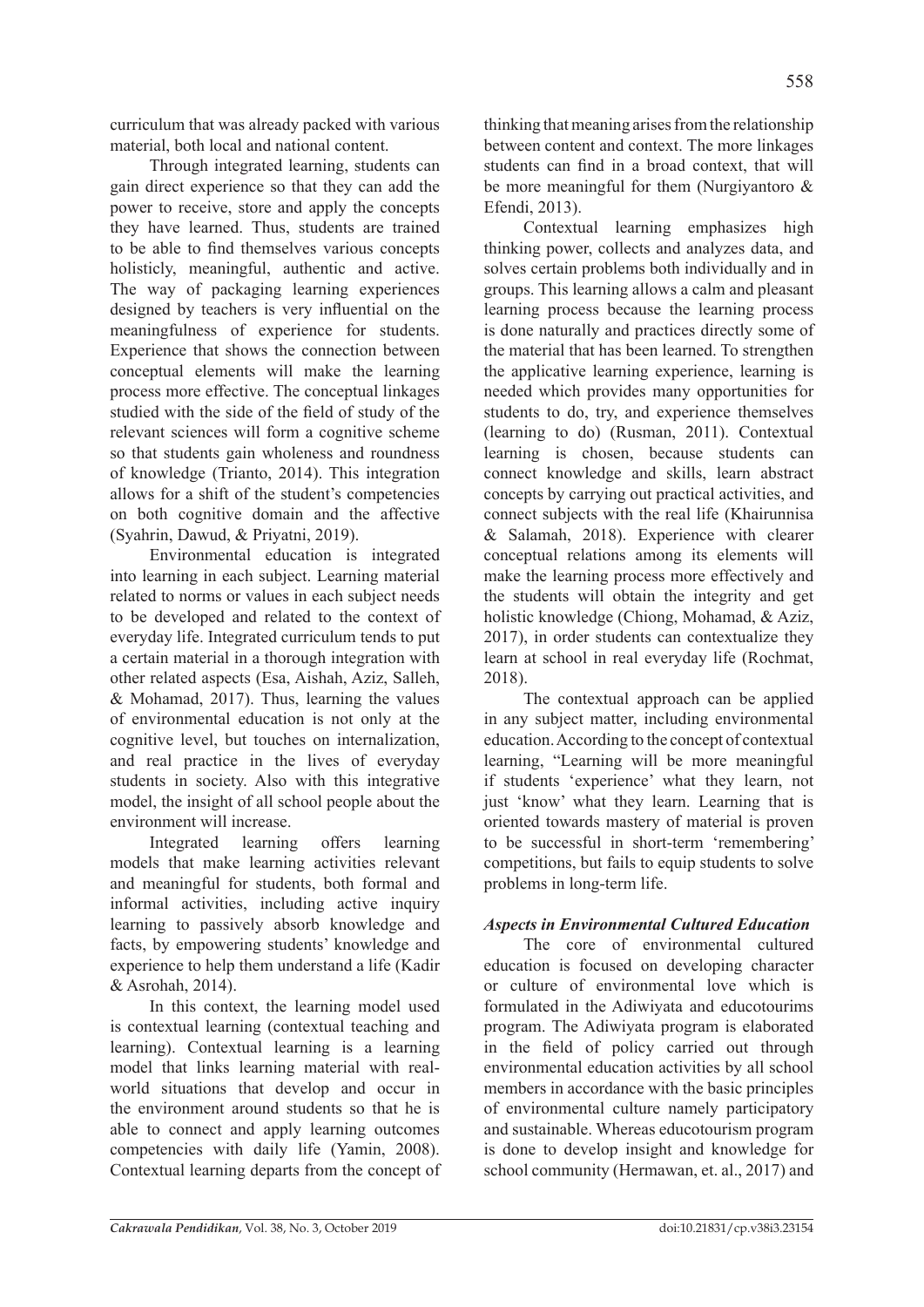curriculum that was already packed with various material, both local and national content.

Through integrated learning, students can gain direct experience so that they can add the power to receive, store and apply the concepts they have learned. Thus, students are trained to be able to find themselves various concepts holisticly, meaningful, authentic and active. The way of packaging learning experiences designed by teachers is very influential on the meaningfulness of experience for students. Experience that shows the connection between conceptual elements will make the learning process more effective. The conceptual linkages studied with the side of the field of study of the relevant sciences will form a cognitive scheme so that students gain wholeness and roundness of knowledge (Trianto, 2014). This integration allows for a shift of the student's competencies on both cognitive domain and the affective (Syahrin, Dawud, & Priyatni, 2019).

Environmental education is integrated into learning in each subject. Learning material related to norms or values in each subject needs to be developed and related to the context of everyday life. Integrated curriculum tends to put a certain material in a thorough integration with other related aspects (Esa, Aishah, Aziz, Salleh, & Mohamad, 2017). Thus, learning the values of environmental education is not only at the cognitive level, but touches on internalization, and real practice in the lives of everyday students in society. Also with this integrative model, the insight of all school people about the environment will increase.

Integrated learning offers learning models that make learning activities relevant and meaningful for students, both formal and informal activities, including active inquiry learning to passively absorb knowledge and facts, by empowering students' knowledge and experience to help them understand a life (Kadir & Asrohah, 2014).

In this context, the learning model used is contextual learning (contextual teaching and learning). Contextual learning is a learning model that links learning material with realworld situations that develop and occur in the environment around students so that he is able to connect and apply learning outcomes competencies with daily life (Yamin, 2008). Contextual learning departs from the concept of thinking that meaning arises from the relationship between content and context. The more linkages students can find in a broad context, that will be more meaningful for them (Nurgiyantoro & Efendi, 2013).

Contextual learning emphasizes high thinking power, collects and analyzes data, and solves certain problems both individually and in groups. This learning allows a calm and pleasant learning process because the learning process is done naturally and practices directly some of the material that has been learned. To strengthen the applicative learning experience, learning is needed which provides many opportunities for students to do, try, and experience themselves (learning to do) (Rusman, 2011). Contextual learning is chosen, because students can connect knowledge and skills, learn abstract concepts by carrying out practical activities, and connect subjects with the real life (Khairunnisa & Salamah, 2018). Experience with clearer conceptual relations among its elements will make the learning process more effectively and the students will obtain the integrity and get holistic knowledge (Chiong, Mohamad, & Aziz, 2017), in order students can contextualize they learn at school in real everyday life (Rochmat, 2018).

The contextual approach can be applied in any subject matter, including environmental education. According to the concept of contextual learning, "Learning will be more meaningful if students 'experience' what they learn, not just 'know' what they learn. Learning that is oriented towards mastery of material is proven to be successful in short-term 'remembering' competitions, but fails to equip students to solve problems in long-term life.

# *Aspects in Environmental Cultured Education*

The core of environmental cultured education is focused on developing character or culture of environmental love which is formulated in the Adiwiyata and educotourims program. The Adiwiyata program is elaborated in the field of policy carried out through environmental education activities by all school members in accordance with the basic principles of environmental culture namely participatory and sustainable. Whereas educotourism program is done to develop insight and knowledge for school community (Hermawan, et. al., 2017) and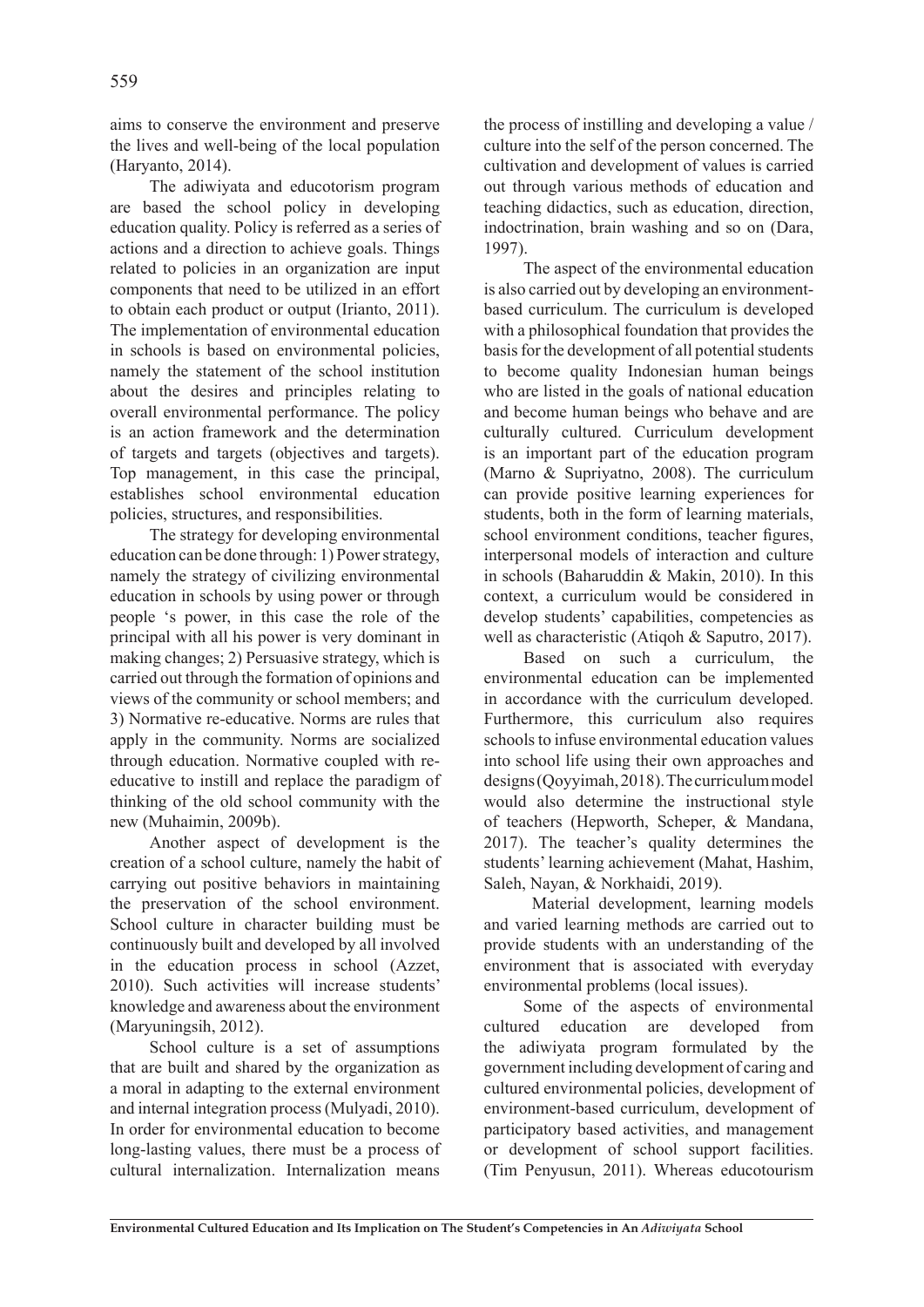aims to conserve the environment and preserve the lives and well-being of the local population (Haryanto, 2014).

The adiwiyata and educotorism program are based the school policy in developing education quality. Policy is referred as a series of actions and a direction to achieve goals. Things related to policies in an organization are input components that need to be utilized in an effort to obtain each product or output (Irianto, 2011). The implementation of environmental education in schools is based on environmental policies, namely the statement of the school institution about the desires and principles relating to overall environmental performance. The policy is an action framework and the determination of targets and targets (objectives and targets). Top management, in this case the principal, establishes school environmental education policies, structures, and responsibilities.

The strategy for developing environmental education can be done through: 1) Power strategy, namely the strategy of civilizing environmental education in schools by using power or through people 's power, in this case the role of the principal with all his power is very dominant in making changes; 2) Persuasive strategy, which is carried out through the formation of opinions and views of the community or school members; and 3) Normative re-educative. Norms are rules that apply in the community. Norms are socialized through education. Normative coupled with reeducative to instill and replace the paradigm of thinking of the old school community with the new (Muhaimin, 2009b).

Another aspect of development is the creation of a school culture, namely the habit of carrying out positive behaviors in maintaining the preservation of the school environment. School culture in character building must be continuously built and developed by all involved in the education process in school (Azzet, 2010). Such activities will increase students' knowledge and awareness about the environment (Maryuningsih, 2012).

School culture is a set of assumptions that are built and shared by the organization as a moral in adapting to the external environment and internal integration process (Mulyadi, 2010). In order for environmental education to become long-lasting values, there must be a process of cultural internalization. Internalization means the process of instilling and developing a value / culture into the self of the person concerned. The cultivation and development of values is carried out through various methods of education and teaching didactics, such as education, direction, indoctrination, brain washing and so on (Dara, 1997).

The aspect of the environmental education is also carried out by developing an environmentbased curriculum. The curriculum is developed with a philosophical foundation that provides the basis for the development of all potential students to become quality Indonesian human beings who are listed in the goals of national education and become human beings who behave and are culturally cultured. Curriculum development is an important part of the education program (Marno & Supriyatno, 2008). The curriculum can provide positive learning experiences for students, both in the form of learning materials, school environment conditions, teacher figures, interpersonal models of interaction and culture in schools (Baharuddin & Makin, 2010). In this context, a curriculum would be considered in develop students' capabilities, competencies as well as characteristic (Atiqoh & Saputro, 2017).

Based on such a curriculum, the environmental education can be implemented in accordance with the curriculum developed. Furthermore, this curriculum also requires schools to infuse environmental education values into school life using their own approaches and designs (Qoyyimah, 2018). The curriculum model would also determine the instructional style of teachers (Hepworth, Scheper, & Mandana, 2017). The teacher's quality determines the students' learning achievement (Mahat, Hashim, Saleh, Nayan, & Norkhaidi, 2019).

 Material development, learning models and varied learning methods are carried out to provide students with an understanding of the environment that is associated with everyday environmental problems (local issues).

Some of the aspects of environmental cultured education are developed from the adiwiyata program formulated by the government including development of caring and cultured environmental policies, development of environment-based curriculum, development of participatory based activities, and management or development of school support facilities. (Tim Penyusun, 2011). Whereas educotourism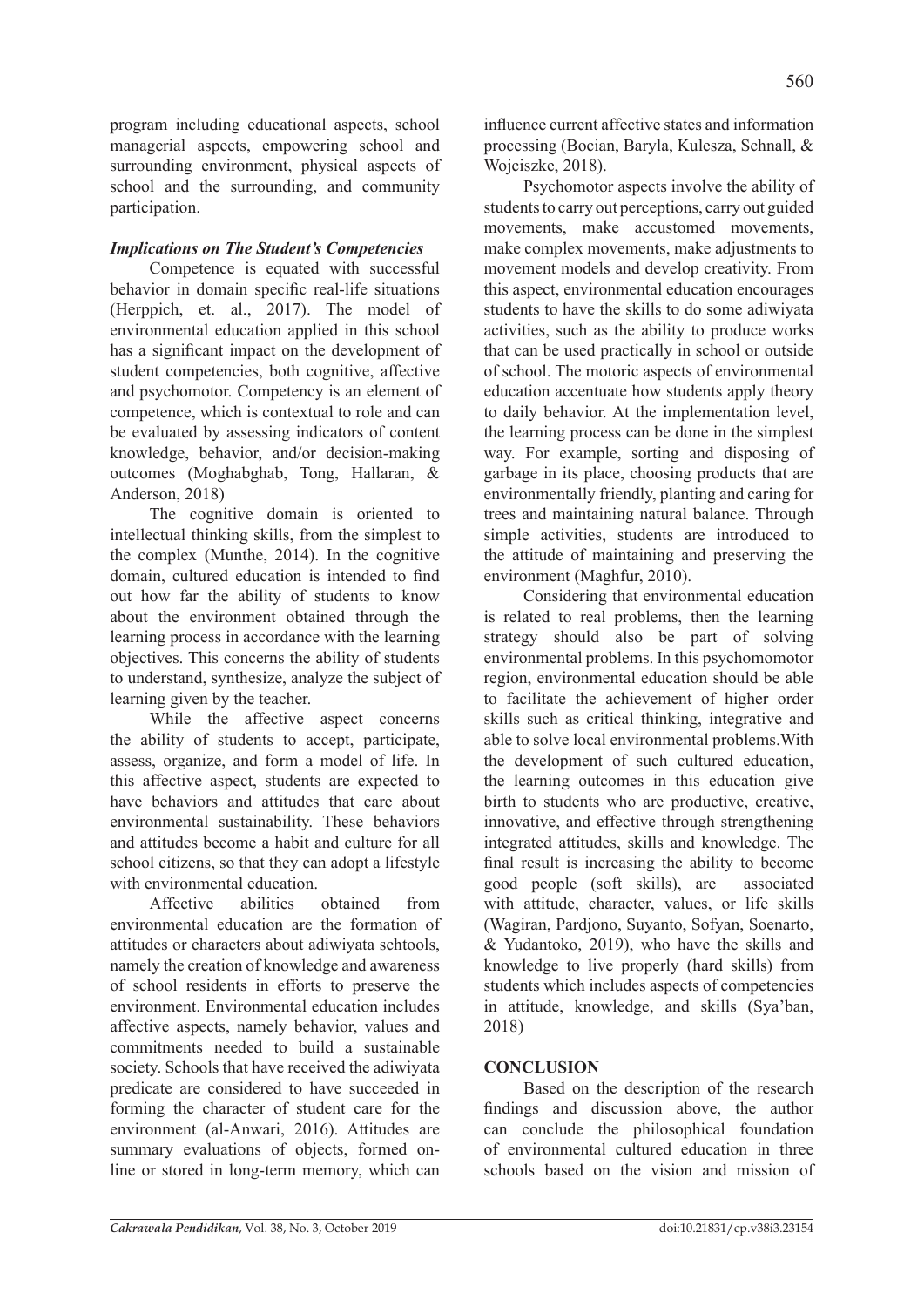program including educational aspects, school managerial aspects, empowering school and surrounding environment, physical aspects of school and the surrounding, and community participation.

## *Implications on The Student's Competencies*

Competence is equated with successful behavior in domain specific real-life situations (Herppich, et. al., 2017). The model of environmental education applied in this school has a significant impact on the development of student competencies, both cognitive, affective and psychomotor. Competency is an element of competence, which is contextual to role and can be evaluated by assessing indicators of content knowledge, behavior, and/or decision-making outcomes (Moghabghab, Tong, Hallaran, & Anderson, 2018)

The cognitive domain is oriented to intellectual thinking skills, from the simplest to the complex (Munthe, 2014). In the cognitive domain, cultured education is intended to find out how far the ability of students to know about the environment obtained through the learning process in accordance with the learning objectives. This concerns the ability of students to understand, synthesize, analyze the subject of learning given by the teacher.

While the affective aspect concerns the ability of students to accept, participate, assess, organize, and form a model of life. In this affective aspect, students are expected to have behaviors and attitudes that care about environmental sustainability. These behaviors and attitudes become a habit and culture for all school citizens, so that they can adopt a lifestyle with environmental education.

Affective abilities obtained from environmental education are the formation of attitudes or characters about adiwiyata schtools, namely the creation of knowledge and awareness of school residents in efforts to preserve the environment. Environmental education includes affective aspects, namely behavior, values and commitments needed to build a sustainable society. Schools that have received the adiwiyata predicate are considered to have succeeded in forming the character of student care for the environment (al-Anwari, 2016). Attitudes are summary evaluations of objects, formed online or stored in long-term memory, which can influence current affective states and information processing (Bocian, Baryla, Kulesza, Schnall, & Wojciszke, 2018).

Psychomotor aspects involve the ability of students to carry out perceptions, carry out guided movements, make accustomed movements, make complex movements, make adjustments to movement models and develop creativity. From this aspect, environmental education encourages students to have the skills to do some adiwiyata activities, such as the ability to produce works that can be used practically in school or outside of school. The motoric aspects of environmental education accentuate how students apply theory to daily behavior. At the implementation level, the learning process can be done in the simplest way. For example, sorting and disposing of garbage in its place, choosing products that are environmentally friendly, planting and caring for trees and maintaining natural balance. Through simple activities, students are introduced to the attitude of maintaining and preserving the environment (Maghfur, 2010).

Considering that environmental education is related to real problems, then the learning strategy should also be part of solving environmental problems. In this psychomomotor region, environmental education should be able to facilitate the achievement of higher order skills such as critical thinking, integrative and able to solve local environmental problems.With the development of such cultured education, the learning outcomes in this education give birth to students who are productive, creative, innovative, and effective through strengthening integrated attitudes, skills and knowledge. The final result is increasing the ability to become good people (soft skills), are associated with attitude, character, values, or life skills (Wagiran, Pardjono, Suyanto, Sofyan, Soenarto, & Yudantoko, 2019), who have the skills and knowledge to live properly (hard skills) from students which includes aspects of competencies in attitude, knowledge, and skills (Sya'ban, 2018)

# **CONCLUSION**

Based on the description of the research findings and discussion above, the author can conclude the philosophical foundation of environmental cultured education in three schools based on the vision and mission of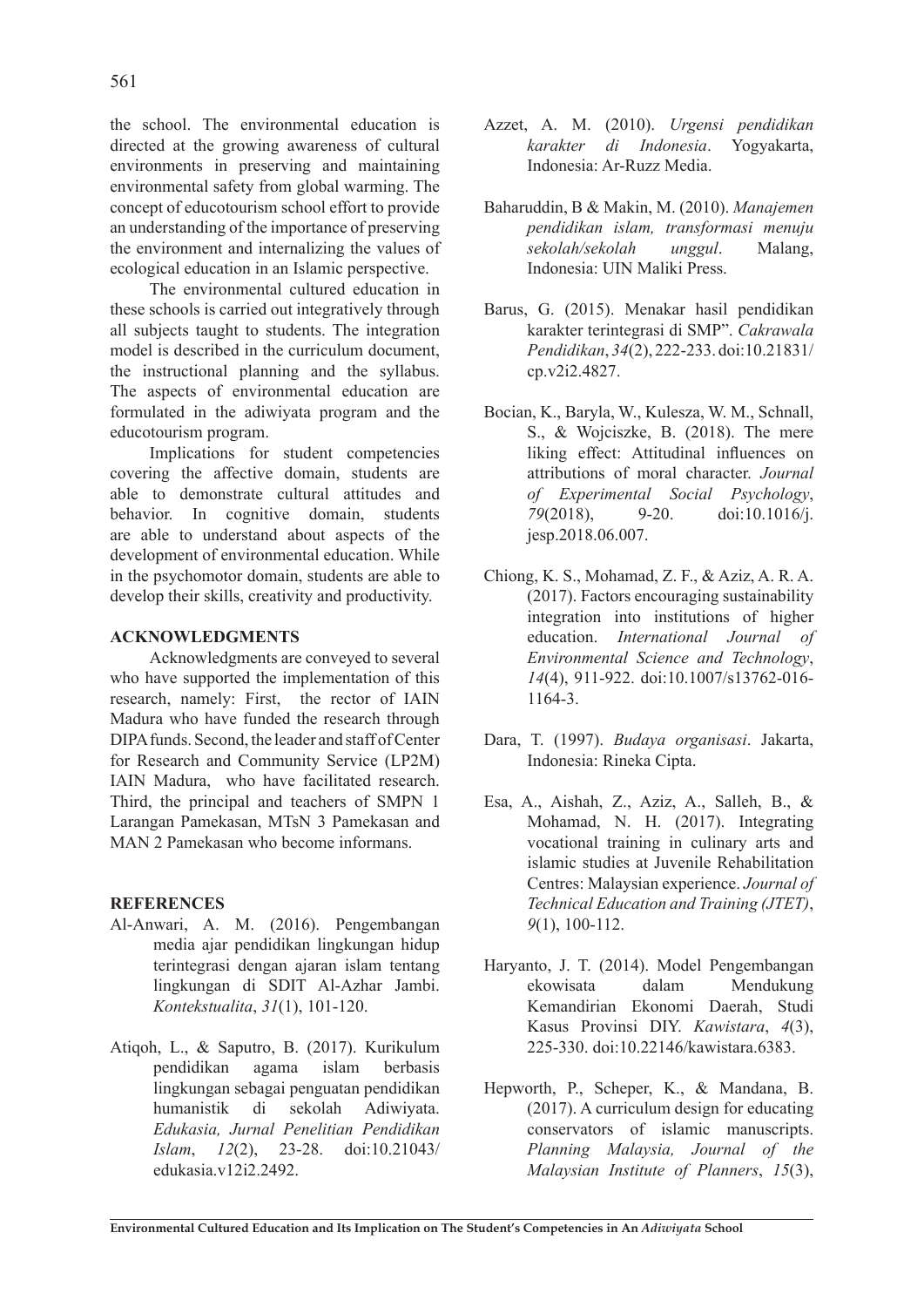the school. The environmental education is directed at the growing awareness of cultural environments in preserving and maintaining environmental safety from global warming. The concept of educotourism school effort to provide an understanding of the importance of preserving the environment and internalizing the values of ecological education in an Islamic perspective.

The environmental cultured education in these schools is carried out integratively through all subjects taught to students. The integration model is described in the curriculum document, the instructional planning and the syllabus. The aspects of environmental education are formulated in the adiwiyata program and the educotourism program.

Implications for student competencies covering the affective domain, students are able to demonstrate cultural attitudes and behavior. In cognitive domain, students are able to understand about aspects of the development of environmental education. While in the psychomotor domain, students are able to develop their skills, creativity and productivity.

#### **ACKNOWLEDGMENTS**

Acknowledgments are conveyed to several who have supported the implementation of this research, namely: First, the rector of IAIN Madura who have funded the research through DIPA funds. Second, the leader and staff of Center for Research and Community Service (LP2M) IAIN Madura, who have facilitated research. Third, the principal and teachers of SMPN 1 Larangan Pamekasan, MTsN 3 Pamekasan and MAN 2 Pamekasan who become informans.

#### **REFERENCES**

- Al-Anwari, A. M. (2016). Pengembangan media ajar pendidikan lingkungan hidup terintegrasi dengan ajaran islam tentang lingkungan di SDIT Al-Azhar Jambi. *Kontekstualita*, *31*(1), 101-120.
- Atiqoh, L., & Saputro, B. (2017). Kurikulum pendidikan agama islam berbasis lingkungan sebagai penguatan pendidikan humanistik di sekolah Adiwiyata. *Edukasia, Jurnal Penelitian Pendidikan Islam*, *12*(2), 23-28. doi:10.21043/ edukasia.v12i2.2492.
- Azzet, A. M. (2010). *Urgensi pendidikan karakter di Indonesia*. Yogyakarta, Indonesia: Ar-Ruzz Media.
- Baharuddin, B & Makin, M. (2010). *Manajemen pendidikan islam, transformasi menuju sekolah/sekolah unggul*. Malang, Indonesia: UIN Maliki Press.
- Barus, G. (2015). Menakar hasil pendidikan karakter terintegrasi di SMP". *Cakrawala Pendidikan*, *34*(2), 222-233. doi:10.21831/ cp.v2i2.4827.
- Bocian, K., Baryla, W., Kulesza, W. M., Schnall, S., & Wojciszke, B. (2018). The mere liking effect: Attitudinal influences on attributions of moral character. *Journal of Experimental Social Psychology*, *79*(2018), 9-20. doi:10.1016/j. jesp.2018.06.007.
- Chiong, K. S., Mohamad, Z. F., & Aziz, A. R. A. (2017). Factors encouraging sustainability integration into institutions of higher education. *International Journal of Environmental Science and Technology*, *14*(4), 911-922. doi:10.1007/s13762-016- 1164-3.
- Dara, T. (1997). *Budaya organisasi*. Jakarta, Indonesia: Rineka Cipta.
- Esa, A., Aishah, Z., Aziz, A., Salleh, B., & Mohamad, N. H. (2017). Integrating vocational training in culinary arts and islamic studies at Juvenile Rehabilitation Centres: Malaysian experience. *Journal of Technical Education and Training (JTET)*, *9*(1), 100-112.
- Haryanto, J. T. (2014). Model Pengembangan ekowisata dalam Mendukung Kemandirian Ekonomi Daerah, Studi Kasus Provinsi DIY. *Kawistara*, *4*(3), 225-330. doi:10.22146/kawistara.6383.
- Hepworth, P., Scheper, K., & Mandana, B. (2017). A curriculum design for educating conservators of islamic manuscripts. *Planning Malaysia, Journal of the Malaysian Institute of Planners*, *15*(3),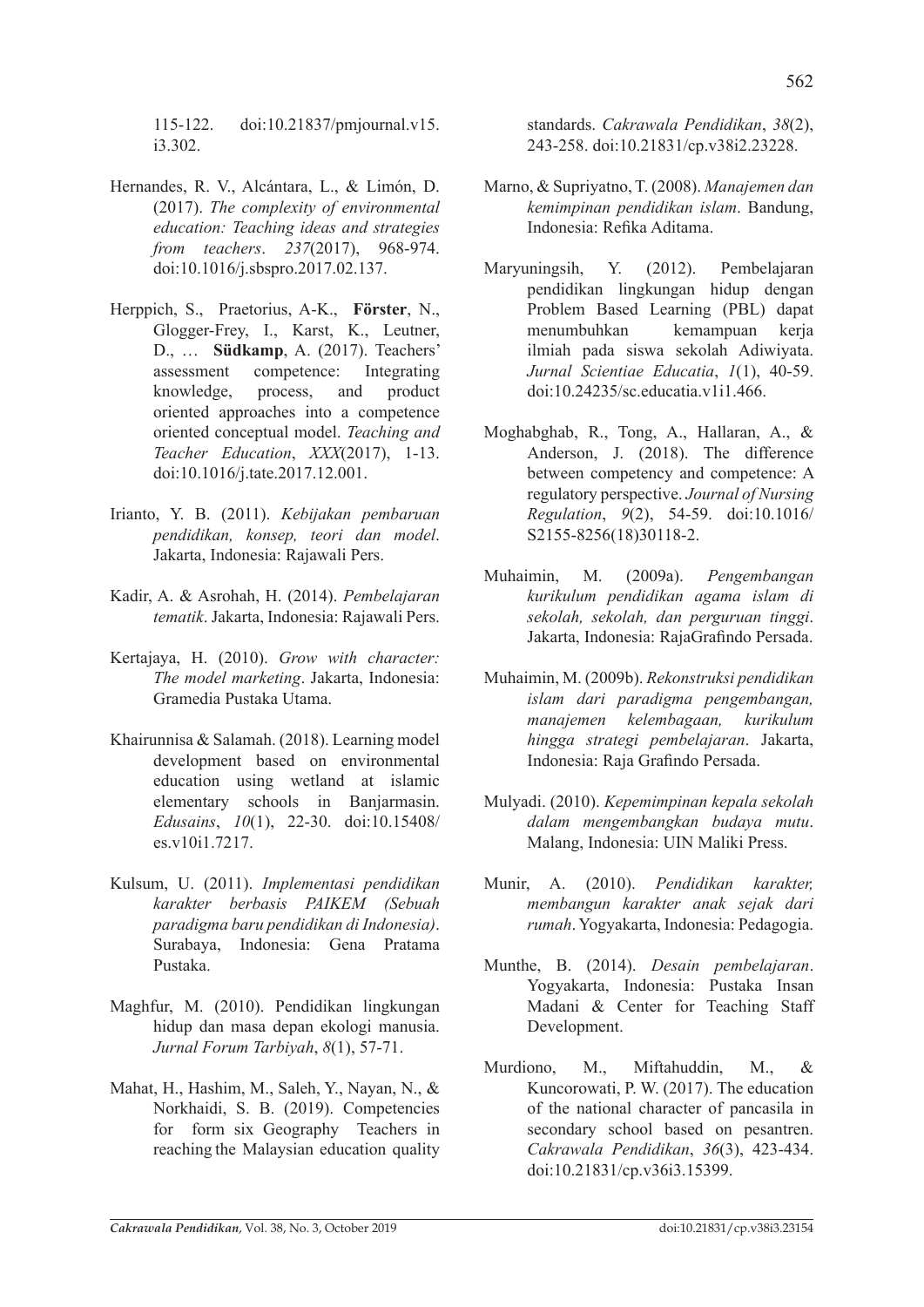115-122. doi:10.21837/pmjournal.v15. i3.302.

- Hernandes, R. V., Alcántara, L., & Limón, D. (2017). *The complexity of environmental education: Teaching ideas and strategies from teachers*. *237*(2017), 968-974. doi:10.1016/j.sbspro.2017.02.137.
- Herppich, S., Praetorius, A-K., **Förster**, N., Glogger-Frey, I., Karst, K., Leutner, D., … **Südkamp**, A. (2017). Teachers' assessment competence: Integrating knowledge, process, and product oriented approaches into a competence oriented conceptual model. *Teaching and Teacher Education*, *XXX*(2017), 1-13. doi:10.1016/j.tate.2017.12.001.
- Irianto, Y. B. (2011). *Kebijakan pembaruan pendidikan, konsep, teori dan model*. Jakarta, Indonesia: Rajawali Pers.
- Kadir, A. & Asrohah, H. (2014). *Pembelajaran tematik*. Jakarta, Indonesia: Rajawali Pers.
- Kertajaya, H. (2010). *Grow with character: The model marketing*. Jakarta, Indonesia: Gramedia Pustaka Utama.
- Khairunnisa & Salamah. (2018). Learning model development based on environmental education using wetland at islamic elementary schools in Banjarmasin. *Edusains*, *10*(1), 22-30. doi:10.15408/ es.v10i1.7217.
- Kulsum, U. (2011). *Implementasi pendidikan karakter berbasis PAIKEM (Sebuah paradigma baru pendidikan di Indonesia)*. Surabaya, Indonesia: Gena Pratama Pustaka.
- Maghfur, M. (2010). Pendidikan lingkungan hidup dan masa depan ekologi manusia. *Jurnal Forum Tarbiyah*, *8*(1), 57-71.
- Mahat, H., Hashim, M., Saleh, Y., Nayan, N., & Norkhaidi, S. B. (2019). Competencies for form six Geography Teachers in reaching the Malaysian education quality

standards. *Cakrawala Pendidikan*, *38*(2), 243-258. doi:10.21831/cp.v38i2.23228.

- Marno, & Supriyatno, T. (2008). *Manajemen dan kemimpinan pendidikan islam*. Bandung, Indonesia: Refika Aditama.
- Maryuningsih, Y. (2012). Pembelajaran pendidikan lingkungan hidup dengan Problem Based Learning (PBL) dapat menumbuhkan kemampuan kerja ilmiah pada siswa sekolah Adiwiyata. *Jurnal Scientiae Educatia*, *1*(1), 40-59. doi:10.24235/sc.educatia.v1i1.466.
- Moghabghab, R., Tong, A., Hallaran, A., & Anderson, J. (2018). The difference between competency and competence: A regulatory perspective. *Journal of Nursing Regulation*, *9*(2), 54-59. doi:10.1016/ S2155-8256(18)30118-2.
- Muhaimin, M. (2009a). *Pengembangan kurikulum pendidikan agama islam di sekolah, sekolah, dan perguruan tinggi*. Jakarta, Indonesia: RajaGrafindo Persada.
- Muhaimin, M. (2009b). *Rekonstruksi pendidikan islam dari paradigma pengembangan, manajemen kelembagaan, kurikulum hingga strategi pembelajaran*. Jakarta, Indonesia: Raja Grafindo Persada.
- Mulyadi. (2010). *Kepemimpinan kepala sekolah dalam mengembangkan budaya mutu*. Malang, Indonesia: UIN Maliki Press.
- Munir, A. (2010). *Pendidikan karakter, membangun karakter anak sejak dari rumah*. Yogyakarta, Indonesia: Pedagogia.
- Munthe, B. (2014). *Desain pembelajaran*. Yogyakarta, Indonesia: Pustaka Insan Madani & Center for Teaching Staff Development.
- Murdiono, M., Miftahuddin, M., & Kuncorowati, P. W. (2017). The education of the national character of pancasila in secondary school based on pesantren. *Cakrawala Pendidikan*, *36*(3), 423-434. doi:10.21831/cp.v36i3.15399.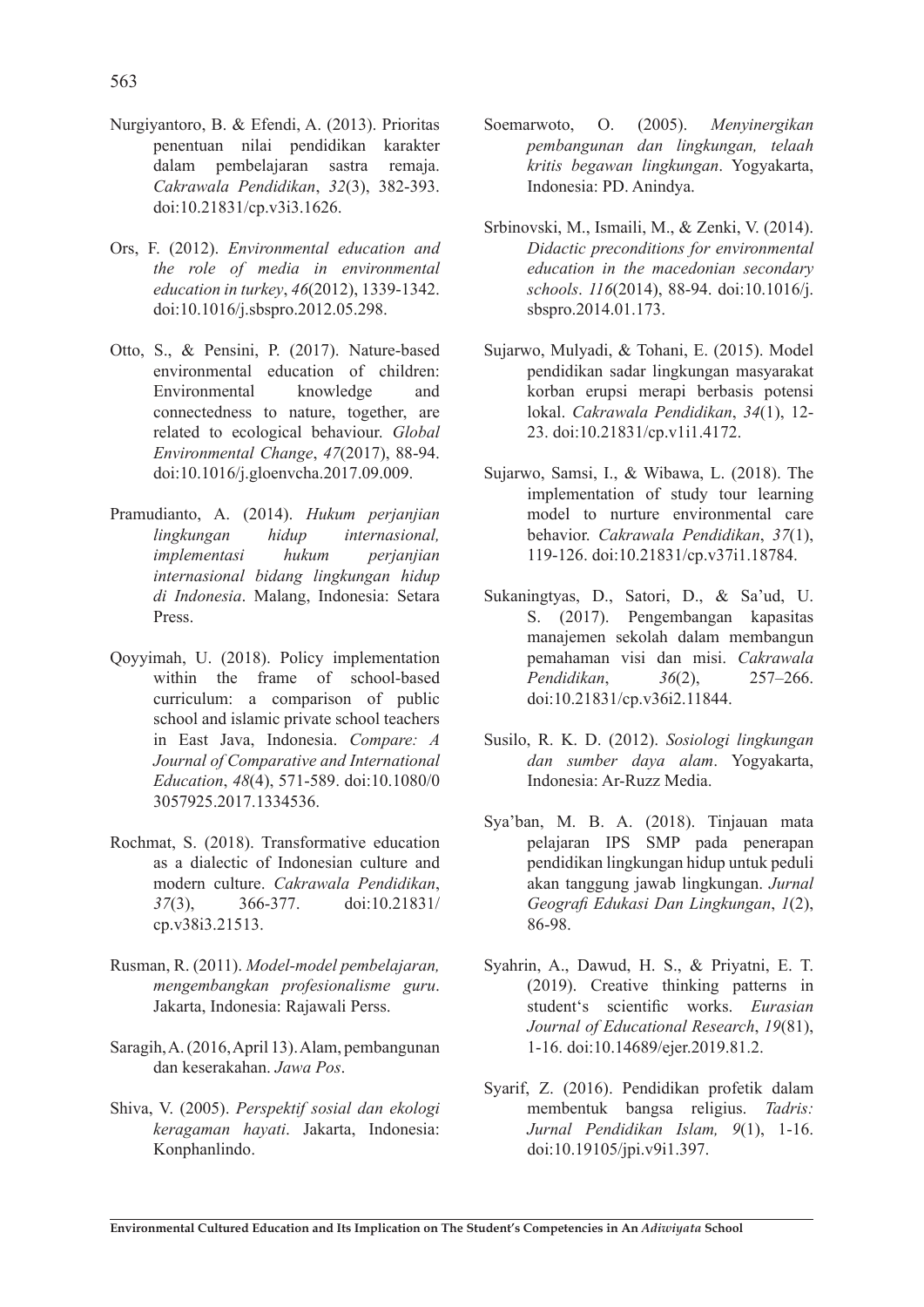- Nurgiyantoro, B. & Efendi, A. (2013). Prioritas penentuan nilai pendidikan karakter dalam pembelajaran sastra remaja. *Cakrawala Pendidikan*, *32*(3), 382-393. doi:10.21831/cp.v3i3.1626.
- Ors, F. (2012). *Environmental education and the role of media in environmental education in turkey*, *46*(2012), 1339-1342. doi:10.1016/j.sbspro.2012.05.298.
- Otto, S., & Pensini, P. (2017). Nature-based environmental education of children: Environmental knowledge and connectedness to nature, together, are related to ecological behaviour. *Global Environmental Change*, *47*(2017), 88-94. doi:10.1016/j.gloenvcha.2017.09.009.
- Pramudianto, A. (2014). *Hukum perjanjian lingkungan hidup internasional, implementasi hukum perjanjian internasional bidang lingkungan hidup di Indonesia*. Malang, Indonesia: Setara Press.
- Qoyyimah, U. (2018). Policy implementation within the frame of school-based curriculum: a comparison of public school and islamic private school teachers in East Java, Indonesia. *Compare: A Journal of Comparative and International Education*, *48*(4), 571-589. doi:10.1080/0 3057925.2017.1334536.
- Rochmat, S. (2018). Transformative education as a dialectic of Indonesian culture and modern culture. *Cakrawala Pendidikan*, *37*(3), 366-377. doi:10.21831/ cp.v38i3.21513.
- Rusman, R. (2011). *Model-model pembelajaran, mengembangkan profesionalisme guru*. Jakarta, Indonesia: Rajawali Perss.
- Saragih, A. (2016, April 13). Alam, pembangunan dan keserakahan. *Jawa Pos*.
- Shiva, V. (2005). *Perspektif sosial dan ekologi keragaman hayati*. Jakarta, Indonesia: Konphanlindo.
- Soemarwoto, O. (2005). *Menyinergikan pembangunan dan lingkungan, telaah kritis begawan lingkungan*. Yogyakarta, Indonesia: PD. Anindya.
- Srbinovski, M., Ismaili, M., & Zenki, V. (2014). *Didactic preconditions for environmental education in the macedonian secondary schools*. *116*(2014), 88-94. doi:10.1016/j. sbspro.2014.01.173.
- Sujarwo, Mulyadi, & Tohani, E. (2015). Model pendidikan sadar lingkungan masyarakat korban erupsi merapi berbasis potensi lokal. *Cakrawala Pendidikan*, *34*(1), 12- 23. doi:10.21831/cp.v1i1.4172.
- Sujarwo, Samsi, I., & Wibawa, L. (2018). The implementation of study tour learning model to nurture environmental care behavior. *Cakrawala Pendidikan*, *37*(1), 119-126. doi:10.21831/cp.v37i1.18784.
- Sukaningtyas, D., Satori, D., & Sa'ud, U. S. (2017). Pengembangan kapasitas manajemen sekolah dalam membangun pemahaman visi dan misi. *Cakrawala Pendidikan*, *36*(2), 257–266. doi:10.21831/cp.v36i2.11844.
- Susilo, R. K. D. (2012). *Sosiologi lingkungan dan sumber daya alam*. Yogyakarta, Indonesia: Ar-Ruzz Media.
- Sya'ban, M. B. A. (2018). Tinjauan mata pelajaran IPS SMP pada penerapan pendidikan lingkungan hidup untuk peduli akan tanggung jawab lingkungan. *Jurnal Geografi Edukasi Dan Lingkungan*, *1*(2), 86-98.
- Syahrin, A., Dawud, H. S., & Priyatni, E. T. (2019). Creative thinking patterns in student's scientific works. *Eurasian Journal of Educational Research*, *19*(81), 1-16. doi:10.14689/ejer.2019.81.2.
- Syarif, Z. (2016). Pendidikan profetik dalam membentuk bangsa religius. *Tadris: Jurnal Pendidikan Islam, 9*(1), 1-16. doi:10.19105/jpi.v9i1.397.